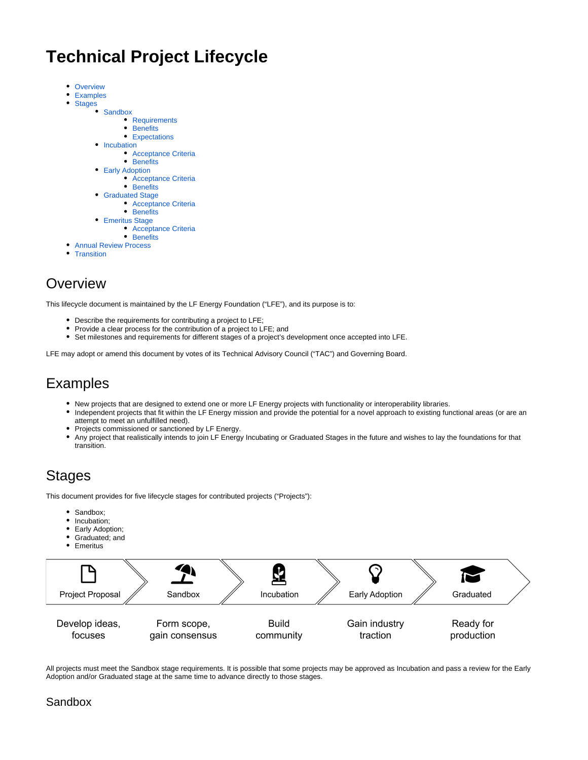# **Technical Project Lifecycle**

• [Overview](#page-0-0)

 $\bullet$ 

- [Examples](#page-0-1)
- $\bullet$ [Stages](#page-0-2)
	- **[Sandbox](#page-0-3)** 
		- [Requirements](#page-1-0)
			- [Benefits](#page-1-1)
		- [Expectations](#page-1-2)
		- [Incubation](#page-1-3)
			- [Acceptance Criteria](#page-1-4)
	- [Benefits](#page-2-0) • [Early Adoption](#page-2-1)
		- [Acceptance Criteria](#page-2-2)
		- [Benefits](#page-2-3)
	- [Graduated Stage](#page-2-4)
		- [Acceptance Criteria](#page-2-5)
		- [Benefits](#page-3-0)
	- [Emeritus Stage](#page-3-1)
		- [Acceptance Criteria](#page-3-2)
	- [Benefits](#page-3-3)
- [Annual Review Process](#page-3-4)
- $\bullet$ **[Transition](#page-3-5)**

## <span id="page-0-0"></span>**Overview**

This lifecycle document is maintained by the LF Energy Foundation ("LFE"), and its purpose is to:

- Describe the requirements for contributing a project to LFE;
- Provide a clear process for the contribution of a project to LFE; and
- Set milestones and requirements for different stages of a project's development once accepted into LFE.

LFE may adopt or amend this document by votes of its Technical Advisory Council ("TAC") and Governing Board.

## <span id="page-0-1"></span>Examples

- New projects that are designed to extend one or more LF Energy projects with functionality or interoperability libraries.
- Independent projects that fit within the LF Energy mission and provide the potential for a novel approach to existing functional areas (or are an attempt to meet an unfulfilled need).
- Projects commissioned or sanctioned by LF Energy.
- Any project that realistically intends to join LF Energy Incubating or Graduated Stages in the future and wishes to lay the foundations for that transition.

## <span id="page-0-2"></span>Stages

This document provides for five lifecycle stages for contributed projects ("Projects"):

- Sandbox;
- Incubation:
- Early Adoption;
- Graduated; and
- Emeritus



All projects must meet the Sandbox stage requirements. It is possible that some projects may be approved as Incubation and pass a review for the Early Adoption and/or Graduated stage at the same time to advance directly to those stages.

### <span id="page-0-3"></span>Sandbox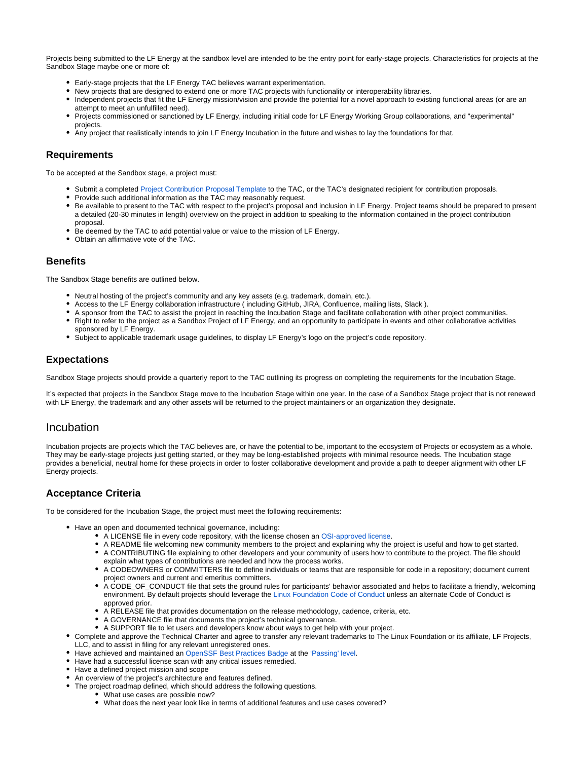Projects being submitted to the LF Energy at the sandbox level are intended to be the entry point for early-stage projects. Characteristics for projects at the Sandbox Stage maybe one or more of:

- Early-stage projects that the LF Energy TAC believes warrant experimentation.
- New projects that are designed to extend one or more TAC projects with functionality or interoperability libraries.
- Independent projects that fit the LF Energy mission/vision and provide the potential for a novel approach to existing functional areas (or are an attempt to meet an unfulfilled need).
- Projects commissioned or sanctioned by LF Energy, including initial code for LF Energy Working Group collaborations, and "experimental" projects.
- Any project that realistically intends to join LF Energy Incubation in the future and wishes to lay the foundations for that.

#### <span id="page-1-0"></span>**Requirements**

To be accepted at the Sandbox stage, a project must:

- Submit a completed [Project Contribution Proposal Template](https://wiki.lfenergy.org/display/HOME/New+Proposals+Process) to the TAC, or the TAC's designated recipient for contribution proposals.
- Provide such additional information as the TAC may reasonably request.
- Be available to present to the TAC with respect to the project's proposal and inclusion in LF Energy. Project teams should be prepared to present a detailed (20-30 minutes in length) overview on the project in addition to speaking to the information contained in the project contribution proposal.
- Be deemed by the TAC to add potential value or value to the mission of LF Energy.
- Obtain an affirmative vote of the TAC.

#### <span id="page-1-1"></span>**Benefits**

The Sandbox Stage benefits are outlined below.

- Neutral hosting of the project's community and any key assets (e.g. trademark, domain, etc.).
- Access to the LF Energy collaboration infrastructure ( including GitHub, JIRA, Confluence, mailing lists, Slack ).
- A sponsor from the TAC to assist the project in reaching the Incubation Stage and facilitate collaboration with other project communities.
- Right to refer to the project as a Sandbox Project of LF Energy, and an opportunity to participate in events and other collaborative activities sponsored by LF Energy.
- Subject to applicable trademark usage guidelines, to display LF Energy's logo on the project's code repository.

#### <span id="page-1-2"></span>**Expectations**

Sandbox Stage projects should provide a quarterly report to the TAC outlining its progress on completing the requirements for the Incubation Stage.

It's expected that projects in the Sandbox Stage move to the Incubation Stage within one year. In the case of a Sandbox Stage project that is not renewed with LF Energy, the trademark and any other assets will be returned to the project maintainers or an organization they designate.

#### <span id="page-1-3"></span>Incubation

Incubation projects are projects which the TAC believes are, or have the potential to be, important to the ecosystem of Projects or ecosystem as a whole. They may be early-stage projects just getting started, or they may be long-established projects with minimal resource needs. The Incubation stage provides a beneficial, neutral home for these projects in order to foster collaborative development and provide a path to deeper alignment with other LF Energy projects.

#### <span id="page-1-4"></span>**Acceptance Criteria**

To be considered for the Incubation Stage, the project must meet the following requirements:

- Have an open and documented technical governance, including:
	- A LICENSE file in every code repository, with the license chosen an [OSI-approved license.](https://opensource.org/licenses)
	- A README file welcoming new community members to the project and explaining why the project is useful and how to get started.
	- A CONTRIBUTING file explaining to other developers and your community of users how to contribute to the project. The file should
	- explain what types of contributions are needed and how the process works.
	- A CODEOWNERS or COMMITTERS file to define individuals or teams that are responsible for code in a repository; document current project owners and current and emeritus committers.
	- A CODE\_OF\_CONDUCT file that sets the ground rules for participants' behavior associated and helps to facilitate a friendly, welcoming environment. By default projects should leverage the [Linux Foundation Code of Conduct](https://lfprojects.org/policies/code-of-conduct/) unless an alternate Code of Conduct is approved prior.
	- A RELEASE file that provides documentation on the release methodology, cadence, criteria, etc.
	- A GOVERNANCE file that documents the project's technical governance.
	- A SUPPORT file to let users and developers know about ways to get help with your project.
- Complete and approve the Technical Charter and agree to transfer any relevant trademarks to The Linux Foundation or its affiliate, LF Projects, LLC, and to assist in filing for any relevant unregistered ones.
- Have achieved and maintained an [OpenSSF Best Practices Badge](https://bestpractices.coreinfrastructure.org/) at the ['Passing' level](https://bestpractices.coreinfrastructure.org/en/criteria/0).
- Have had a successful license scan with any critical issues remedied.
- Have a defined project mission and scope
- An overview of the project's architecture and features defined.
- The project roadmap defined, which should address the following questions.
	- What use cases are possible now?
	- What does the next year look like in terms of additional features and use cases covered?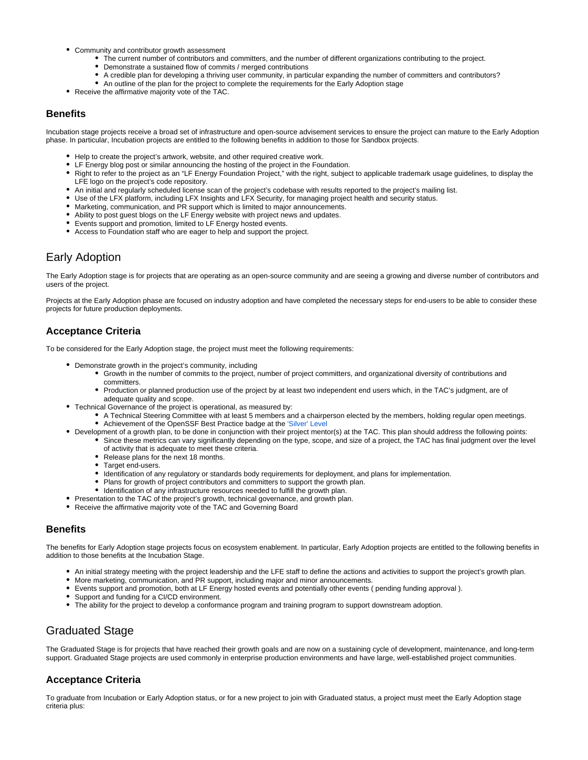- Community and contributor growth assessment
	- The current number of contributors and committers, and the number of different organizations contributing to the project.
	- Demonstrate a sustained flow of commits / merged contributions
	- A credible plan for developing a thriving user community, in particular expanding the number of committers and contributors?
	- An outline of the plan for the project to complete the requirements for the Early Adoption stage
- Receive the affirmative majority vote of the TAC.

#### <span id="page-2-0"></span>**Benefits**

Incubation stage projects receive a broad set of infrastructure and open-source advisement services to ensure the project can mature to the Early Adoption phase. In particular, Incubation projects are entitled to the following benefits in addition to those for Sandbox projects.

- Help to create the project's artwork, website, and other required creative work.
- LF Energy blog post or similar announcing the hosting of the project in the Foundation.
- Right to refer to the project as an "LF Energy Foundation Project," with the right, subject to applicable trademark usage guidelines, to display the LFE logo on the project's code repository.
- An initial and regularly scheduled license scan of the project's codebase with results reported to the project's mailing list.
- Use of the LFX platform, including LFX Insights and LFX Security, for managing project health and security status.
- Marketing, communication, and PR support which is limited to major announcements.
- Ability to post guest blogs on the LF Energy website with project news and updates.
- Events support and promotion, limited to LF Energy hosted events.
- Access to Foundation staff who are eager to help and support the project.

### <span id="page-2-1"></span>Early Adoption

The Early Adoption stage is for projects that are operating as an open-source community and are seeing a growing and diverse number of contributors and users of the project.

Projects at the Early Adoption phase are focused on industry adoption and have completed the necessary steps for end-users to be able to consider these projects for future production deployments.

#### <span id="page-2-2"></span>**Acceptance Criteria**

To be considered for the Early Adoption stage, the project must meet the following requirements:

- Demonstrate growth in the project's community, including
	- Growth in the number of commits to the project, number of project committers, and organizational diversity of contributions and committers.
		- Production or planned production use of the project by at least two independent end users which, in the TAC's judgment, are of adequate quality and scope.
- Technical Governance of the project is operational, as measured by:
	- A Technical Steering Committee with at least 5 members and a chairperson elected by the members, holding regular open meetings. • Achievement of the OpenSSF Best Practice badge at the ['Silver' Level](https://bestpractices.coreinfrastructure.org/en/criteria/1)
- Development of a growth plan, to be done in conjunction with their project mentor(s) at the TAC. This plan should address the following points:
	- Since these metrics can vary significantly depending on the type, scope, and size of a project, the TAC has final judgment over the level of activity that is adequate to meet these criteria.
		- Release plans for the next 18 months.
		- Target end-users.
		- Identification of any regulatory or standards body requirements for deployment, and plans for implementation.
		- Plans for growth of project contributors and committers to support the growth plan.
		- $\bullet$  Identification of any infrastructure resources needed to fulfill the growth plan.
- Presentation to the TAC of the project's growth, technical governance, and growth plan.
- Receive the affirmative majority vote of the TAC and Governing Board

#### <span id="page-2-3"></span>**Benefits**

The benefits for Early Adoption stage projects focus on ecosystem enablement. In particular, Early Adoption projects are entitled to the following benefits in addition to those benefits at the Incubation Stage.

- An initial strategy meeting with the project leadership and the LFE staff to define the actions and activities to support the project's growth plan.
- More marketing, communication, and PR support, including major and minor announcements.
- Events support and promotion, both at LF Energy hosted events and potentially other events ( pending funding approval ).
- Support and funding for a CI/CD environment.
- The ability for the project to develop a conformance program and training program to support downstream adoption.

### <span id="page-2-4"></span>Graduated Stage

The Graduated Stage is for projects that have reached their growth goals and are now on a sustaining cycle of development, maintenance, and long-term support. Graduated Stage projects are used commonly in enterprise production environments and have large, well-established project communities.

#### <span id="page-2-5"></span>**Acceptance Criteria**

To graduate from Incubation or Early Adoption status, or for a new project to join with Graduated status, a project must meet the Early Adoption stage criteria plus: